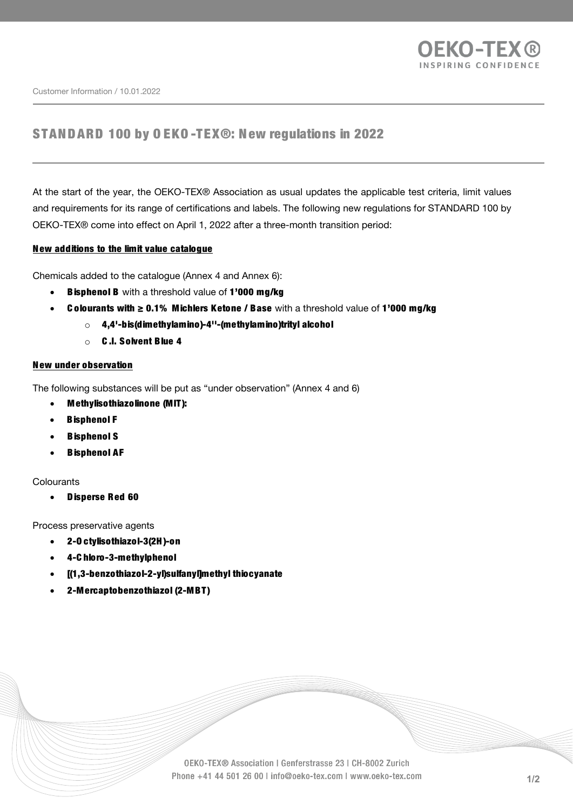

Customer Information / 10.01.2022

## STANDARD 100 by O EKO -TEX®: N ew regulations in 2022

At the start of the year, the OEKO-TEX® Association as usual updates the applicable test criteria, limit values and requirements for its range of certifications and labels. The following new regulations for STANDARD 100 by OEKO-TEX® come into effect on April 1, 2022 after a three-month transition period:

## N ew additions to the limit value catalogue

Chemicals added to the catalogue (Annex 4 and Annex 6):

- Bisphenol B with a threshold value of 1'000 mg/kg
- **Colourants with ≥ 0.1% Michlers Ketone / Base** with a threshold value of 1'000 mg/kg
	- o 4,4'-bis(dimethylamino)-4''-(methylamino)trityl alcohol
	- o C .I. Solvent Blue 4

## N ew under observation

The following substances will be put as "under observation" (Annex 4 and 6)

- Methylisothiazolinone (MIT):
- **B**isphenol F
- Bisphenol S
- **B**isphenol AF

## Colourants

• D isperse Red 60

Process preservative agents

- 2-O ctylisothiazol-3(2H )-on
- 4-C hloro-3-methylphenol
- [(1,3-benzothiazol-2-yl)sulfanyl]methyl thiocyanate
- 2-Mercaptobenzothiazol (2-MBT)

OEKO-TEX® Association | Genferstrasse 23 | CH-8002 Zurich Phone +41 44 501 26 00 | info@oeko-tex.com | www.oeko-tex.com